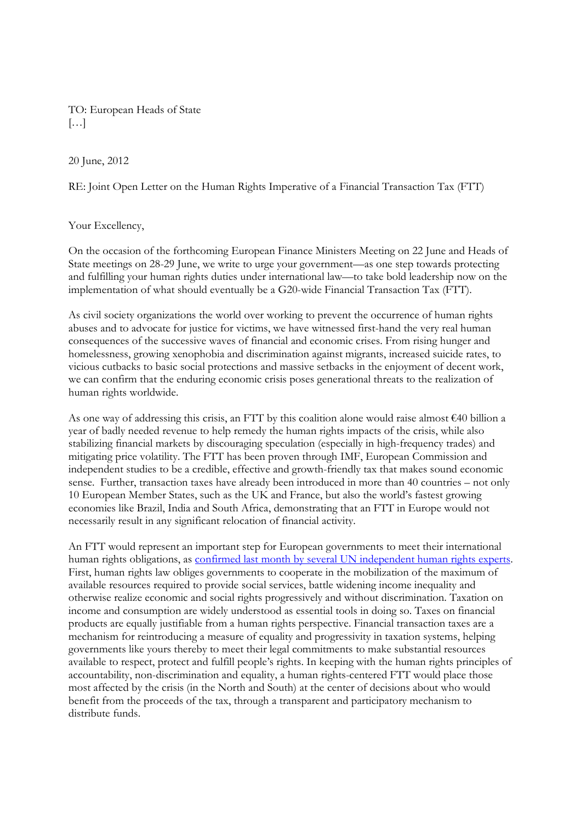TO: European Heads of State  $\left[\ldots\right]$ 

20 June, 2012

RE: Joint Open Letter on the Human Rights Imperative of a Financial Transaction Tax (FTT)

Your Excellency,

On the occasion of the forthcoming European Finance Ministers Meeting on 22 June and Heads of State meetings on 28-29 June, we write to urge your government—as one step towards protecting and fulfilling your human rights duties under international law—to take bold leadership now on the implementation of what should eventually be a G20-wide Financial Transaction Tax (FTT).

As civil society organizations the world over working to prevent the occurrence of human rights abuses and to advocate for justice for victims, we have witnessed first-hand the very real human consequences of the successive waves of financial and economic crises. From rising hunger and homelessness, growing xenophobia and discrimination against migrants, increased suicide rates, to vicious cutbacks to basic social protections and massive setbacks in the enjoyment of decent work, we can confirm that the enduring economic crisis poses generational threats to the realization of human rights worldwide.

As one way of addressing this crisis, an FTT by this coalition alone would raise almost  $\epsilon$ 40 billion a year of badly needed revenue to help remedy the human rights impacts of the crisis, while also stabilizing financial markets by discouraging speculation (especially in high-frequency trades) and mitigating price volatility. The FTT has been proven through IMF, European Commission and independent studies to be a credible, effective and growth-friendly tax that makes sound economic sense. Further, transaction taxes have already been introduced in more than 40 countries – not only 10 European Member States, such as the UK and France, but also the world's fastest growing economies like Brazil, India and South Africa, demonstrating that an FTT in Europe would not necessarily result in any significant relocation of financial activity.

An FTT would represent an important step for European governments to meet their international human rights obligations, as confirmed last month by several UN independent human rights experts. First, human rights law obliges governments to cooperate in the mobilization of the maximum of available resources required to provide social services, battle widening income inequality and otherwise realize economic and social rights progressively and without discrimination. Taxation on income and consumption are widely understood as essential tools in doing so. Taxes on financial products are equally justifiable from a human rights perspective. Financial transaction taxes are a mechanism for reintroducing a measure of equality and progressivity in taxation systems, helping governments like yours thereby to meet their legal commitments to make substantial resources available to respect, protect and fulfill people's rights. In keeping with the human rights principles of accountability, non-discrimination and equality, a human rights-centered FTT would place those most affected by the crisis (in the North and South) at the center of decisions about who would benefit from the proceeds of the tax, through a transparent and participatory mechanism to distribute funds.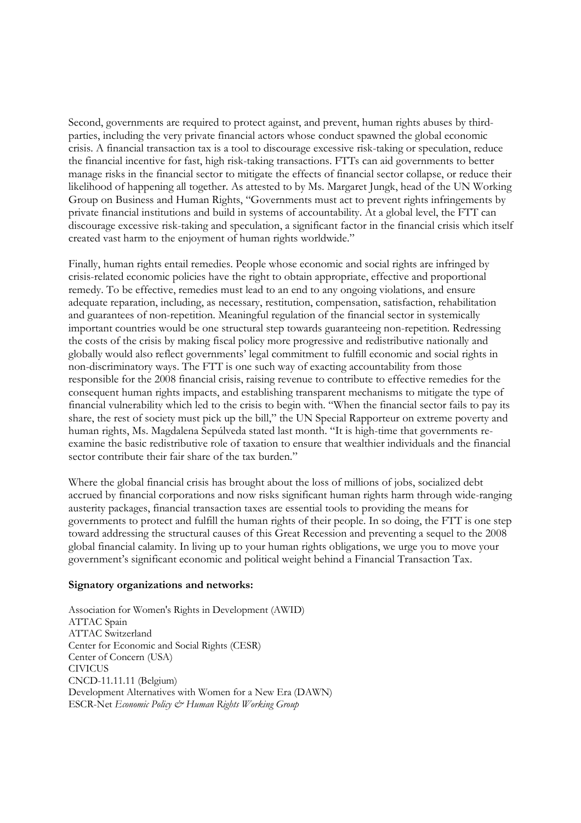Second, governments are required to protect against, and prevent, human rights abuses by thirdparties, including the very private financial actors whose conduct spawned the global economic crisis. A financial transaction tax is a tool to discourage excessive risk-taking or speculation, reduce the financial incentive for fast, high risk-taking transactions. FTTs can aid governments to better manage risks in the financial sector to mitigate the effects of financial sector collapse, or reduce their likelihood of happening all together. As attested to by Ms. Margaret Jungk, head of the UN Working Group on Business and Human Rights, "Governments must act to prevent rights infringements by private financial institutions and build in systems of accountability. At a global level, the FTT can discourage excessive risk-taking and speculation, a significant factor in the financial crisis which itself created vast harm to the enjoyment of human rights worldwide."

Finally, human rights entail remedies. People whose economic and social rights are infringed by crisis-related economic policies have the right to obtain appropriate, effective and proportional remedy. To be effective, remedies must lead to an end to any ongoing violations, and ensure adequate reparation, including, as necessary, restitution, compensation, satisfaction, rehabilitation and guarantees of non-repetition. Meaningful regulation of the financial sector in systemically important countries would be one structural step towards guaranteeing non-repetition. Redressing the costs of the crisis by making fiscal policy more progressive and redistributive nationally and globally would also reflect governments' legal commitment to fulfill economic and social rights in non-discriminatory ways. The FTT is one such way of exacting accountability from those responsible for the 2008 financial crisis, raising revenue to contribute to effective remedies for the consequent human rights impacts, and establishing transparent mechanisms to mitigate the type of financial vulnerability which led to the crisis to begin with. "When the financial sector fails to pay its share, the rest of society must pick up the bill," the UN Special Rapporteur on extreme poverty and human rights, Ms. Magdalena Sepúlveda stated last month. "It is high-time that governments reexamine the basic redistributive role of taxation to ensure that wealthier individuals and the financial sector contribute their fair share of the tax burden."

Where the global financial crisis has brought about the loss of millions of jobs, socialized debt accrued by financial corporations and now risks significant human rights harm through wide-ranging austerity packages, financial transaction taxes are essential tools to providing the means for governments to protect and fulfill the human rights of their people. In so doing, the FTT is one step toward addressing the structural causes of this Great Recession and preventing a sequel to the 2008 global financial calamity. In living up to your human rights obligations, we urge you to move your government's significant economic and political weight behind a Financial Transaction Tax.

## **Signatory organizations and networks:**

Association for Women's Rights in Development (AWID) ATTAC Spain ATTAC Switzerland Center for Economic and Social Rights (CESR) Center of Concern (USA) CIVICUS CNCD-11.11.11 (Belgium) Development Alternatives with Women for a New Era (DAWN) ESCR-Net *Economic Policy & Human Rights Working Group*